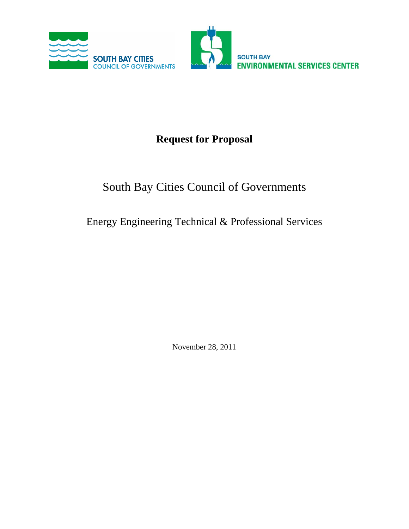

# **Request for Proposal**

# South Bay Cities Council of Governments

# Energy Engineering Technical & Professional Services

November 28, 2011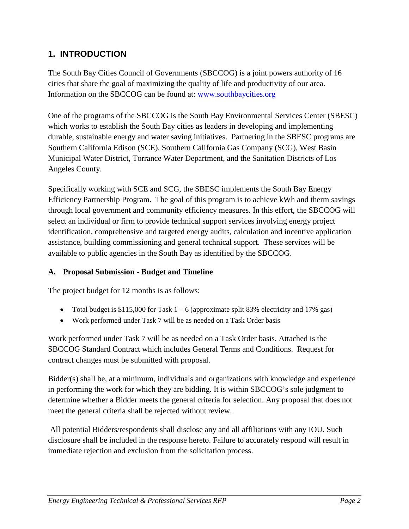## **1. INTRODUCTION**

The South Bay Cities Council of Governments (SBCCOG) is a joint powers authority of 16 cities that share the goal of maximizing the quality of life and productivity of our area. Information on the SBCCOG can be found at: [www.southbaycities.org](http://www.southbaycities.org/)

One of the programs of the SBCCOG is the South Bay Environmental Services Center (SBESC) which works to establish the South Bay cities as leaders in developing and implementing durable, sustainable energy and water saving initiatives. Partnering in the SBESC programs are Southern California Edison (SCE), Southern California Gas Company (SCG), West Basin Municipal Water District, Torrance Water Department, and the Sanitation Districts of Los Angeles County.

Specifically working with SCE and SCG, the SBESC implements the South Bay Energy Efficiency Partnership Program. The goal of this program is to achieve kWh and therm savings through local government and community efficiency measures. In this effort, the SBCCOG will select an individual or firm to provide technical support services involving energy project identification, comprehensive and targeted energy audits, calculation and incentive application assistance, building commissioning and general technical support. These services will be available to public agencies in the South Bay as identified by the SBCCOG.

#### **A. Proposal Submission - Budget and Timeline**

The project budget for 12 months is as follows:

- Total budget is \$115,000 for Task  $1 6$  (approximate split 83% electricity and 17% gas)
- Work performed under Task 7 will be as needed on a Task Order basis

Work performed under Task 7 will be as needed on a Task Order basis. Attached is the SBCCOG Standard Contract which includes General Terms and Conditions. Request for contract changes must be submitted with proposal.

Bidder(s) shall be, at a minimum, individuals and organizations with knowledge and experience in performing the work for which they are bidding. It is within SBCCOG's sole judgment to determine whether a Bidder meets the general criteria for selection. Any proposal that does not meet the general criteria shall be rejected without review.

All potential Bidders/respondents shall disclose any and all affiliations with any IOU. Such disclosure shall be included in the response hereto. Failure to accurately respond will result in immediate rejection and exclusion from the solicitation process.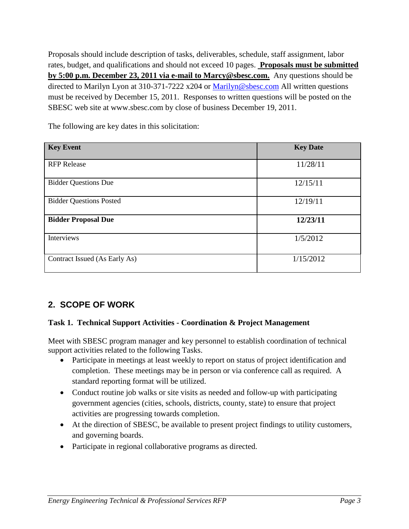Proposals should include description of tasks, deliverables, schedule, staff assignment, labor rates, budget, and qualifications and should not exceed 10 pages. **Proposals must be submitted by 5:00 p.m. December 23, 2011 via e-mail to Marcy@sbesc.com.** Any questions should be directed to Marilyn Lyon at 310-371-7222 x204 or [Marilyn@sbesc.com](mailto:Marilyn@sbesc.com) All written questions must be received by December 15, 2011. Responses to written questions will be posted on the SBESC web site at www.sbesc.com by close of business December 19, 2011.

**Key Event Key Date** RFP Release  $11/28/11$ Bidder Questions Due 12/15/11 and 12/15/11 and 12/15/11 and 12/15/11 and 12/15/11 and 12/15/11 and 12/15/11 and 12/15/11 and 12/15/11 and 12/15/11 and 12/15/11 and 12/15/11 and 12/15/11 and 12/15/11 and 12/15/11 and 12/15/ Bidder Questions Posted 12/19/11 **Bidder Proposal Due 12/23/11** Interviews  $1/5/2012$ Contract Issued (As Early As) 1/15/2012

The following are key dates in this solicitation:

## **2. SCOPE OF WORK**

#### **Task 1. Technical Support Activities - Coordination & Project Management**

Meet with SBESC program manager and key personnel to establish coordination of technical support activities related to the following Tasks.

- Participate in meetings at least weekly to report on status of project identification and completion. These meetings may be in person or via conference call as required. A standard reporting format will be utilized.
- Conduct routine job walks or site visits as needed and follow-up with participating government agencies (cities, schools, districts, county, state) to ensure that project activities are progressing towards completion.
- At the direction of SBESC, be available to present project findings to utility customers, and governing boards.
- Participate in regional collaborative programs as directed.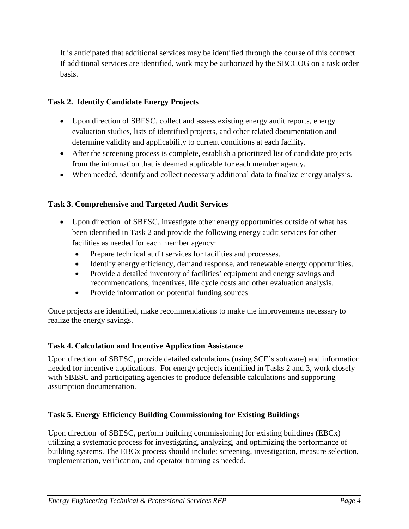It is anticipated that additional services may be identified through the course of this contract. If additional services are identified, work may be authorized by the SBCCOG on a task order basis.

#### **Task 2. Identify Candidate Energy Projects**

- Upon direction of SBESC, collect and assess existing energy audit reports, energy evaluation studies, lists of identified projects, and other related documentation and determine validity and applicability to current conditions at each facility.
- After the screening process is complete, establish a prioritized list of candidate projects from the information that is deemed applicable for each member agency.
- When needed, identify and collect necessary additional data to finalize energy analysis.

#### **Task 3. Comprehensive and Targeted Audit Services**

- Upon direction of SBESC, investigate other energy opportunities outside of what has been identified in Task 2 and provide the following energy audit services for other facilities as needed for each member agency:
	- Prepare technical audit services for facilities and processes.
	- Identify energy efficiency, demand response, and renewable energy opportunities.
	- Provide a detailed inventory of facilities' equipment and energy savings and recommendations, incentives, life cycle costs and other evaluation analysis.
	- Provide information on potential funding sources

Once projects are identified, make recommendations to make the improvements necessary to realize the energy savings.

#### **Task 4. Calculation and Incentive Application Assistance**

Upon direction of SBESC, provide detailed calculations (using SCE's software) and information needed for incentive applications. For energy projects identified in Tasks 2 and 3, work closely with SBESC and participating agencies to produce defensible calculations and supporting assumption documentation.

## **Task 5. Energy Efficiency Building Commissioning for Existing Buildings**

Upon direction of SBESC, perform building commissioning for existing buildings (EBCx) utilizing a systematic process for investigating, analyzing, and optimizing the performance of building systems. The EBCx process should include: screening, investigation, measure selection, implementation, verification, and operator training as needed.